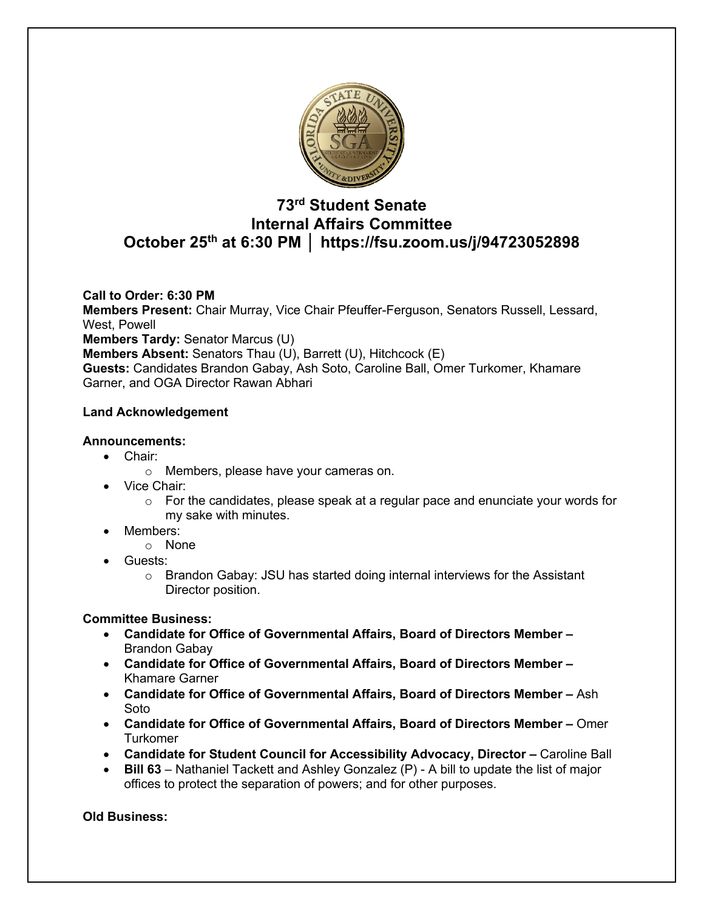

# **73rd Student Senate Internal Affairs Committee October 25th at 6:30 PM │ https://fsu.zoom.us/j/94723052898**

## **Call to Order: 6:30 PM**

**Members Present:** Chair Murray, Vice Chair Pfeuffer-Ferguson, Senators Russell, Lessard, West, Powell

**Members Tardy:** Senator Marcus (U)

**Members Absent:** Senators Thau (U), Barrett (U), Hitchcock (E)

**Guests:** Candidates Brandon Gabay, Ash Soto, Caroline Ball, Omer Turkomer, Khamare Garner, and OGA Director Rawan Abhari

## **Land Acknowledgement**

## **Announcements:**

- Chair:
	- o Members, please have your cameras on.
- Vice Chair:
	- $\circ$  For the candidates, please speak at a regular pace and enunciate your words for my sake with minutes.
	- Members:
		- o None
- Guests:
	- $\circ$  Brandon Gabay: JSU has started doing internal interviews for the Assistant Director position.

## **Committee Business:**

- **Candidate for Office of Governmental Affairs, Board of Directors Member –** Brandon Gabay
- **Candidate for Office of Governmental Affairs, Board of Directors Member –** Khamare Garner
- **Candidate for Office of Governmental Affairs, Board of Directors Member –** Ash Soto
- **Candidate for Office of Governmental Affairs, Board of Directors Member –** Omer **Turkomer**
- **Candidate for Student Council for Accessibility Advocacy, Director –** Caroline Ball
- **Bill 63** Nathaniel Tackett and Ashley Gonzalez (P) A bill to update the list of major offices to protect the separation of powers; and for other purposes.

**Old Business:**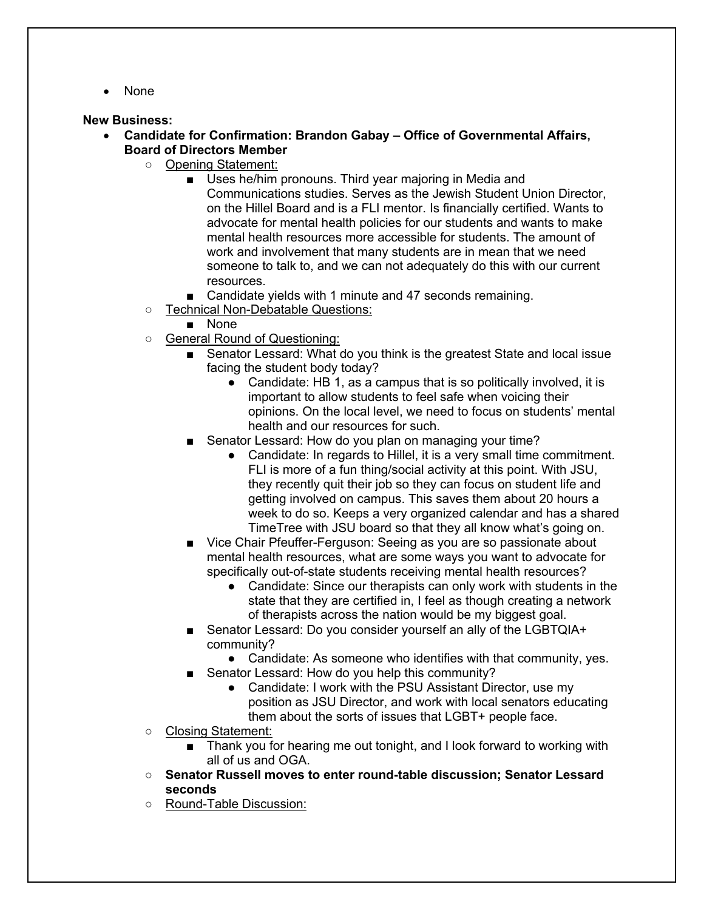• None

## **New Business:**

- **Candidate for Confirmation: Brandon Gabay – Office of Governmental Affairs, Board of Directors Member**
	- Opening Statement:
		- Uses he/him pronouns. Third year majoring in Media and Communications studies. Serves as the Jewish Student Union Director, on the Hillel Board and is a FLI mentor. Is financially certified. Wants to advocate for mental health policies for our students and wants to make mental health resources more accessible for students. The amount of work and involvement that many students are in mean that we need someone to talk to, and we can not adequately do this with our current resources.
		- Candidate yields with 1 minute and 47 seconds remaining.
	- Technical Non-Debatable Questions:
		- None
	- General Round of Questioning:
		- Senator Lessard: What do you think is the greatest State and local issue facing the student body today?
			- Candidate: HB 1, as a campus that is so politically involved, it is important to allow students to feel safe when voicing their opinions. On the local level, we need to focus on students' mental health and our resources for such.
		- Senator Lessard: How do you plan on managing your time?
			- Candidate: In regards to Hillel, it is a very small time commitment. FLI is more of a fun thing/social activity at this point. With JSU, they recently quit their job so they can focus on student life and getting involved on campus. This saves them about 20 hours a week to do so. Keeps a very organized calendar and has a shared TimeTree with JSU board so that they all know what's going on.
		- Vice Chair Pfeuffer-Ferguson: Seeing as you are so passionate about mental health resources, what are some ways you want to advocate for specifically out-of-state students receiving mental health resources?
			- Candidate: Since our therapists can only work with students in the state that they are certified in, I feel as though creating a network of therapists across the nation would be my biggest goal.
		- Senator Lessard: Do you consider yourself an ally of the LGBTQIA+ community?
			- Candidate: As someone who identifies with that community, yes.
		- Senator Lessard: How do you help this community?
			- Candidate: I work with the PSU Assistant Director, use my position as JSU Director, and work with local senators educating them about the sorts of issues that LGBT+ people face.
	- Closing Statement:
		- Thank you for hearing me out tonight, and I look forward to working with all of us and OGA.
	- **Senator Russell moves to enter round-table discussion; Senator Lessard seconds**
	- Round-Table Discussion: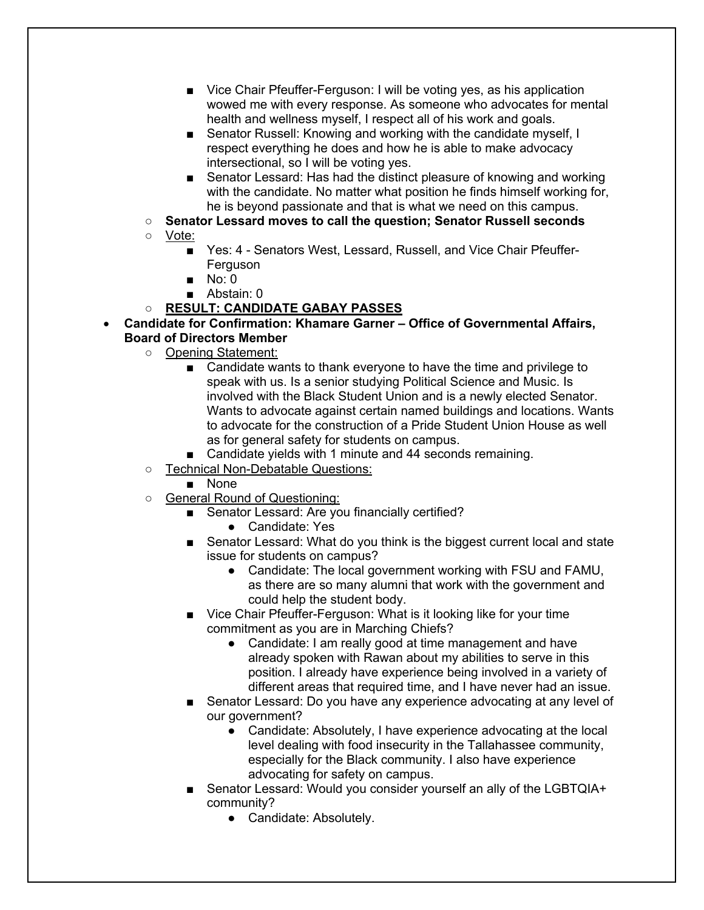- Vice Chair Pfeuffer-Ferguson: I will be voting yes, as his application wowed me with every response. As someone who advocates for mental health and wellness myself, I respect all of his work and goals.
- Senator Russell: Knowing and working with the candidate myself, I respect everything he does and how he is able to make advocacy intersectional, so I will be voting yes.
- Senator Lessard: Has had the distinct pleasure of knowing and working with the candidate. No matter what position he finds himself working for, he is beyond passionate and that is what we need on this campus.
- **Senator Lessard moves to call the question; Senator Russell seconds**
- Vote:
	- Yes: 4 Senators West, Lessard, Russell, and Vice Chair Pfeuffer-Ferguson
	- No: 0
	- Abstain: 0
- **RESULT: CANDIDATE GABAY PASSES**
- **Candidate for Confirmation: Khamare Garner – Office of Governmental Affairs, Board of Directors Member**
	- Opening Statement:
		- Candidate wants to thank everyone to have the time and privilege to speak with us. Is a senior studying Political Science and Music. Is involved with the Black Student Union and is a newly elected Senator. Wants to advocate against certain named buildings and locations. Wants to advocate for the construction of a Pride Student Union House as well as for general safety for students on campus.
		- Candidate yields with 1 minute and 44 seconds remaining.
	- Technical Non-Debatable Questions:
		- None
	- General Round of Questioning:
		- Senator Lessard: Are you financially certified?
			- Candidate: Yes
		- Senator Lessard: What do you think is the biggest current local and state issue for students on campus?
			- Candidate: The local government working with FSU and FAMU, as there are so many alumni that work with the government and could help the student body.
		- Vice Chair Pfeuffer-Ferguson: What is it looking like for your time commitment as you are in Marching Chiefs?
			- Candidate: I am really good at time management and have already spoken with Rawan about my abilities to serve in this position. I already have experience being involved in a variety of different areas that required time, and I have never had an issue.
		- Senator Lessard: Do you have any experience advocating at any level of our government?
			- Candidate: Absolutely, I have experience advocating at the local level dealing with food insecurity in the Tallahassee community, especially for the Black community. I also have experience advocating for safety on campus.
		- Senator Lessard: Would you consider yourself an ally of the LGBTQIA+ community?
			- Candidate: Absolutely.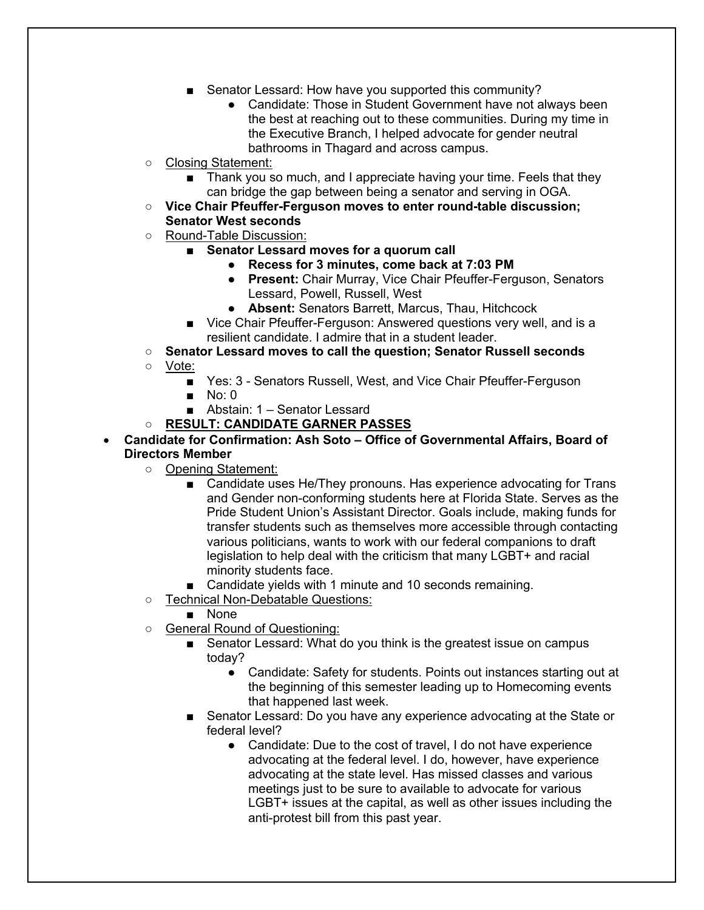- Senator Lessard: How have you supported this community?
	- Candidate: Those in Student Government have not always been the best at reaching out to these communities. During my time in the Executive Branch, I helped advocate for gender neutral bathrooms in Thagard and across campus.
- Closing Statement:
	- Thank you so much, and I appreciate having your time. Feels that they can bridge the gap between being a senator and serving in OGA.
- **Vice Chair Pfeuffer-Ferguson moves to enter round-table discussion; Senator West seconds**
- Round-Table Discussion:
	- **Senator Lessard moves for a quorum call** 
		- **Recess for 3 minutes, come back at 7:03 PM**
		- **Present:** Chair Murray, Vice Chair Pfeuffer-Ferguson, Senators Lessard, Powell, Russell, West
		- **Absent:** Senators Barrett, Marcus, Thau, Hitchcock
	- Vice Chair Pfeuffer-Ferguson: Answered questions very well, and is a resilient candidate. I admire that in a student leader.
- **Senator Lessard moves to call the question; Senator Russell seconds**
- Vote:
	- Yes: 3 Senators Russell, West, and Vice Chair Pfeuffer-Ferguson
	- $\blacksquare$  No: 0
	- Abstain: 1 Senator Lessard
- **RESULT: CANDIDATE GARNER PASSES**
- **Candidate for Confirmation: Ash Soto – Office of Governmental Affairs, Board of Directors Member**
	- Opening Statement:
		- Candidate uses He/They pronouns. Has experience advocating for Trans and Gender non-conforming students here at Florida State. Serves as the Pride Student Union's Assistant Director. Goals include, making funds for transfer students such as themselves more accessible through contacting various politicians, wants to work with our federal companions to draft legislation to help deal with the criticism that many LGBT+ and racial minority students face.
		- Candidate yields with 1 minute and 10 seconds remaining.
	- Technical Non-Debatable Questions:
		- None
	- General Round of Questioning:
		- Senator Lessard: What do you think is the greatest issue on campus today?
			- Candidate: Safety for students. Points out instances starting out at the beginning of this semester leading up to Homecoming events that happened last week.
		- Senator Lessard: Do you have any experience advocating at the State or federal level?
			- Candidate: Due to the cost of travel, I do not have experience advocating at the federal level. I do, however, have experience advocating at the state level. Has missed classes and various meetings just to be sure to available to advocate for various LGBT+ issues at the capital, as well as other issues including the anti-protest bill from this past year.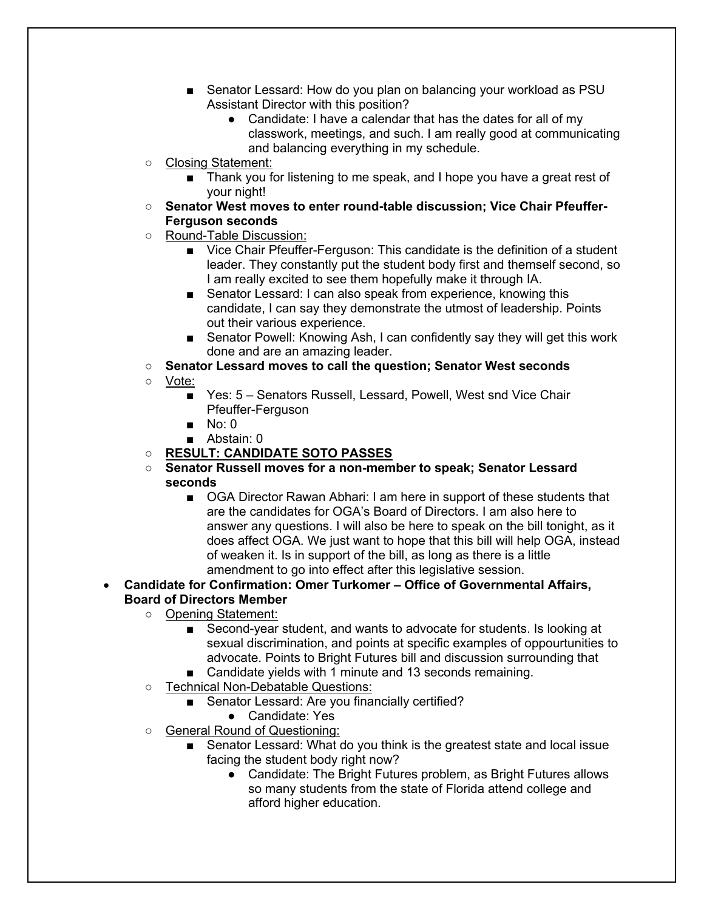- Senator Lessard: How do you plan on balancing your workload as PSU Assistant Director with this position?
	- Candidate: I have a calendar that has the dates for all of my classwork, meetings, and such. I am really good at communicating and balancing everything in my schedule.
- Closing Statement:
	- Thank you for listening to me speak, and I hope you have a great rest of your night!
- Senator West moves to enter round-table discussion; Vice Chair Pfeuffer-**Ferguson seconds**
- Round-Table Discussion:
	- Vice Chair Pfeuffer-Ferguson: This candidate is the definition of a student leader. They constantly put the student body first and themself second, so I am really excited to see them hopefully make it through IA.
	- Senator Lessard: I can also speak from experience, knowing this candidate, I can say they demonstrate the utmost of leadership. Points out their various experience.
	- Senator Powell: Knowing Ash, I can confidently say they will get this work done and are an amazing leader.
- **Senator Lessard moves to call the question; Senator West seconds**
- Vote:
	- Yes: 5 Senators Russell, Lessard, Powell, West snd Vice Chair Pfeuffer-Ferguson
	- No: 0
	- Abstain: 0
- **RESULT: CANDIDATE SOTO PASSES**
- **Senator Russell moves for a non-member to speak; Senator Lessard seconds**
	- OGA Director Rawan Abhari: I am here in support of these students that are the candidates for OGA's Board of Directors. I am also here to answer any questions. I will also be here to speak on the bill tonight, as it does affect OGA. We just want to hope that this bill will help OGA, instead of weaken it. Is in support of the bill, as long as there is a little amendment to go into effect after this legislative session.
- **Candidate for Confirmation: Omer Turkomer – Office of Governmental Affairs, Board of Directors Member**
	- Opening Statement:
		- Second-year student, and wants to advocate for students. Is looking at sexual discrimination, and points at specific examples of oppourtunities to advocate. Points to Bright Futures bill and discussion surrounding that
		- Candidate yields with 1 minute and 13 seconds remaining.
	- Technical Non-Debatable Questions:
		- Senator Lessard: Are you financially certified?
		- Candidate: Yes
	- General Round of Questioning:
		- Senator Lessard: What do you think is the greatest state and local issue facing the student body right now?
			- Candidate: The Bright Futures problem, as Bright Futures allows so many students from the state of Florida attend college and afford higher education.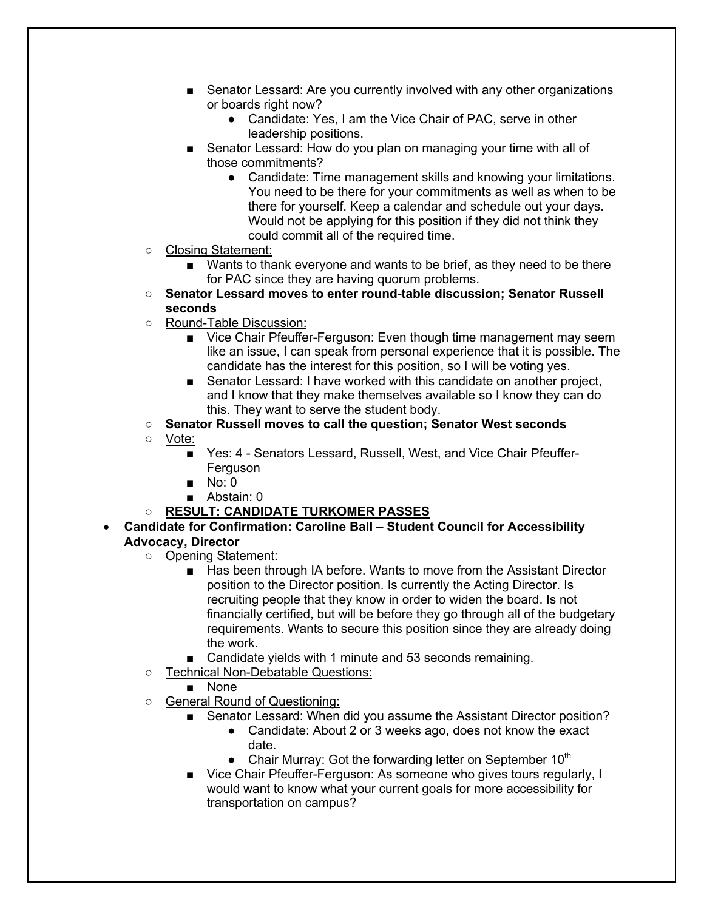- Senator Lessard: Are you currently involved with any other organizations or boards right now?
	- Candidate: Yes, I am the Vice Chair of PAC, serve in other leadership positions.
- Senator Lessard: How do you plan on managing your time with all of those commitments?
	- Candidate: Time management skills and knowing your limitations. You need to be there for your commitments as well as when to be there for yourself. Keep a calendar and schedule out your days. Would not be applying for this position if they did not think they could commit all of the required time.
- Closing Statement:
	- Wants to thank everyone and wants to be brief, as they need to be there for PAC since they are having quorum problems.
- **Senator Lessard moves to enter round-table discussion; Senator Russell seconds**
- Round-Table Discussion:
	- Vice Chair Pfeuffer-Ferguson: Even though time management may seem like an issue, I can speak from personal experience that it is possible. The candidate has the interest for this position, so I will be voting yes.
	- Senator Lessard: I have worked with this candidate on another project, and I know that they make themselves available so I know they can do this. They want to serve the student body.
- **Senator Russell moves to call the question; Senator West seconds**
- Vote:
	- Yes: 4 Senators Lessard, Russell, West, and Vice Chair Pfeuffer-Ferguson
	- $\blacksquare$  No: 0
	- Abstain: 0
- **RESULT: CANDIDATE TURKOMER PASSES**

## • **Candidate for Confirmation: Caroline Ball – Student Council for Accessibility Advocacy, Director**

- Opening Statement:
	- Has been through IA before. Wants to move from the Assistant Director position to the Director position. Is currently the Acting Director. Is recruiting people that they know in order to widen the board. Is not financially certified, but will be before they go through all of the budgetary requirements. Wants to secure this position since they are already doing the work.
	- Candidate yields with 1 minute and 53 seconds remaining.
- Technical Non-Debatable Questions:
	- None
- General Round of Questioning:
	- Senator Lessard: When did you assume the Assistant Director position?
		- Candidate: About 2 or 3 weeks ago, does not know the exact date.
		- Chair Murray: Got the forwarding letter on September  $10<sup>th</sup>$
	- Vice Chair Pfeuffer-Ferguson: As someone who gives tours regularly, I would want to know what your current goals for more accessibility for transportation on campus?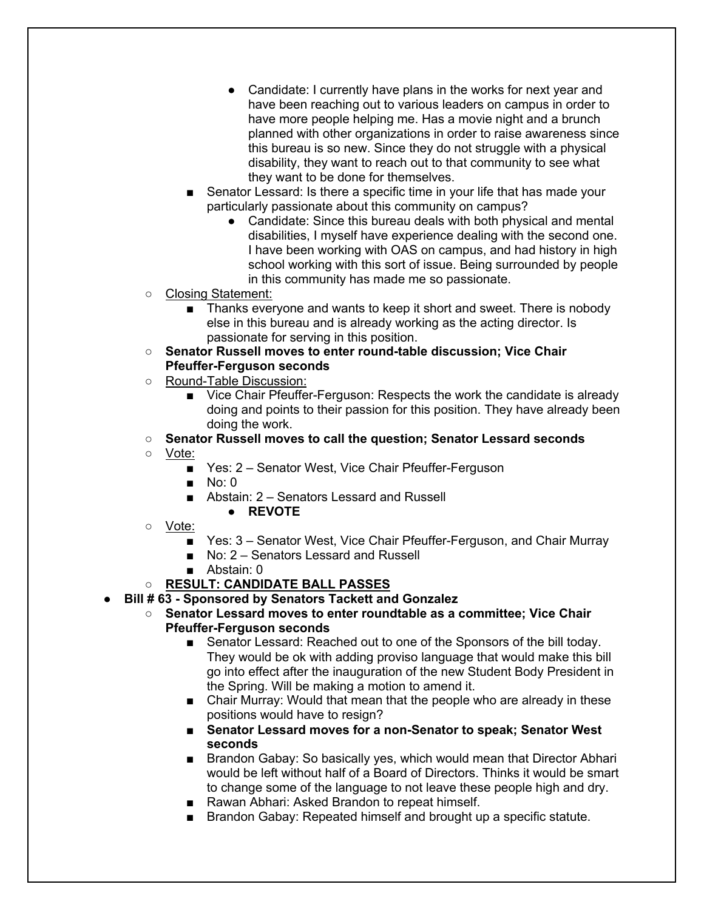- Candidate: I currently have plans in the works for next year and have been reaching out to various leaders on campus in order to have more people helping me. Has a movie night and a brunch planned with other organizations in order to raise awareness since this bureau is so new. Since they do not struggle with a physical disability, they want to reach out to that community to see what they want to be done for themselves.
- Senator Lessard: Is there a specific time in your life that has made your particularly passionate about this community on campus?
	- Candidate: Since this bureau deals with both physical and mental disabilities, I myself have experience dealing with the second one. I have been working with OAS on campus, and had history in high school working with this sort of issue. Being surrounded by people in this community has made me so passionate.
- Closing Statement:
	- Thanks everyone and wants to keep it short and sweet. There is nobody else in this bureau and is already working as the acting director. Is passionate for serving in this position.
- **Senator Russell moves to enter round-table discussion; Vice Chair Pfeuffer-Ferguson seconds**
- Round-Table Discussion:
	- Vice Chair Pfeuffer-Ferguson: Respects the work the candidate is already doing and points to their passion for this position. They have already been doing the work.
- **Senator Russell moves to call the question; Senator Lessard seconds**
- Vote:
	- Yes: 2 Senator West, Vice Chair Pfeuffer-Ferguson
	- $\blacksquare$  No: 0
	- Abstain: 2 Senators Lessard and Russell
		- **REVOTE**
- Vote:
	- Yes: 3 Senator West, Vice Chair Pfeuffer-Ferguson, and Chair Murray
	- No: 2 Senators Lessard and Russell
	- Abstain: 0
- **RESULT: CANDIDATE BALL PASSES**
- **Bill # 63 - Sponsored by Senators Tackett and Gonzalez**
	- **Senator Lessard moves to enter roundtable as a committee; Vice Chair Pfeuffer-Ferguson seconds**
		- Senator Lessard: Reached out to one of the Sponsors of the bill today. They would be ok with adding proviso language that would make this bill go into effect after the inauguration of the new Student Body President in the Spring. Will be making a motion to amend it.
		- Chair Murray: Would that mean that the people who are already in these positions would have to resign?
		- **Senator Lessard moves for a non-Senator to speak; Senator West seconds**
		- Brandon Gabay: So basically yes, which would mean that Director Abhari would be left without half of a Board of Directors. Thinks it would be smart to change some of the language to not leave these people high and dry.
		- Rawan Abhari: Asked Brandon to repeat himself.
		- Brandon Gabay: Repeated himself and brought up a specific statute.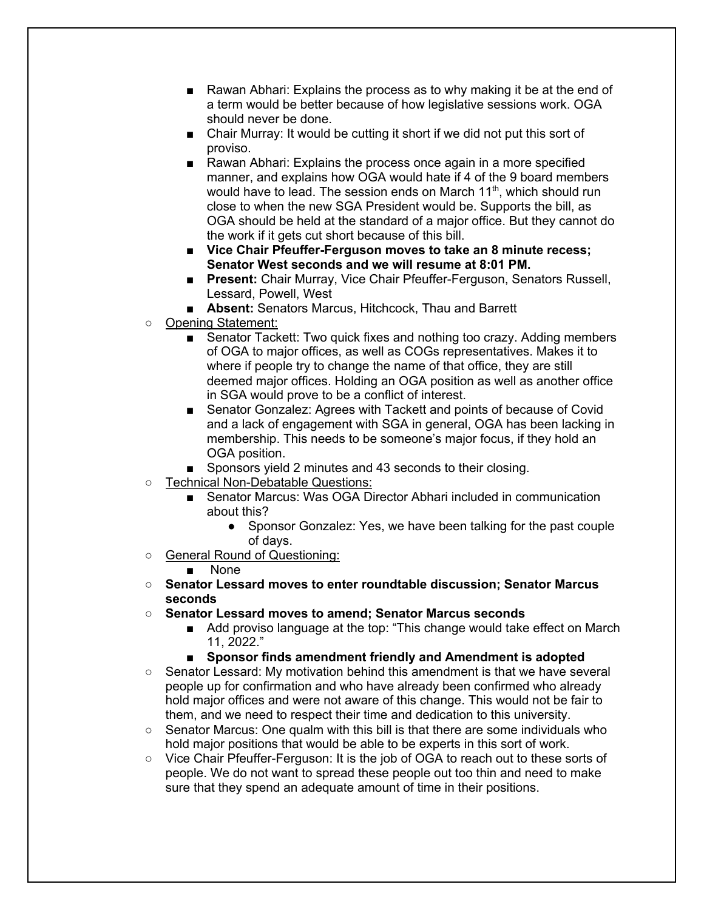- Rawan Abhari: Explains the process as to why making it be at the end of a term would be better because of how legislative sessions work. OGA should never be done.
- Chair Murray: It would be cutting it short if we did not put this sort of proviso.
- Rawan Abhari: Explains the process once again in a more specified manner, and explains how OGA would hate if 4 of the 9 board members would have to lead. The session ends on March 11<sup>th</sup>, which should run close to when the new SGA President would be. Supports the bill, as OGA should be held at the standard of a major office. But they cannot do the work if it gets cut short because of this bill.
- Vice Chair Pfeuffer-Ferguson moves to take an 8 minute recess; **Senator West seconds and we will resume at 8:01 PM.**
- **Present:** Chair Murray, Vice Chair Pfeuffer-Ferguson, Senators Russell, Lessard, Powell, West
- **Absent:** Senators Marcus, Hitchcock, Thau and Barrett
- Opening Statement:
	- Senator Tackett: Two quick fixes and nothing too crazy. Adding members of OGA to major offices, as well as COGs representatives. Makes it to where if people try to change the name of that office, they are still deemed major offices. Holding an OGA position as well as another office in SGA would prove to be a conflict of interest.
	- Senator Gonzalez: Agrees with Tackett and points of because of Covid and a lack of engagement with SGA in general, OGA has been lacking in membership. This needs to be someone's major focus, if they hold an OGA position.
	- Sponsors yield 2 minutes and 43 seconds to their closing.
- Technical Non-Debatable Questions:
	- Senator Marcus: Was OGA Director Abhari included in communication about this?
		- Sponsor Gonzalez: Yes, we have been talking for the past couple of days.
- General Round of Questioning:

## ■ None

- **Senator Lessard moves to enter roundtable discussion; Senator Marcus seconds**
- **Senator Lessard moves to amend; Senator Marcus seconds**
	- Add proviso language at the top: "This change would take effect on March 11, 2022."
	- **Sponsor finds amendment friendly and Amendment is adopted**
- Senator Lessard: My motivation behind this amendment is that we have several people up for confirmation and who have already been confirmed who already hold major offices and were not aware of this change. This would not be fair to them, and we need to respect their time and dedication to this university.
- $\circ$  Senator Marcus: One qualm with this bill is that there are some individuals who hold major positions that would be able to be experts in this sort of work.
- Vice Chair Pfeuffer-Ferguson: It is the job of OGA to reach out to these sorts of people. We do not want to spread these people out too thin and need to make sure that they spend an adequate amount of time in their positions.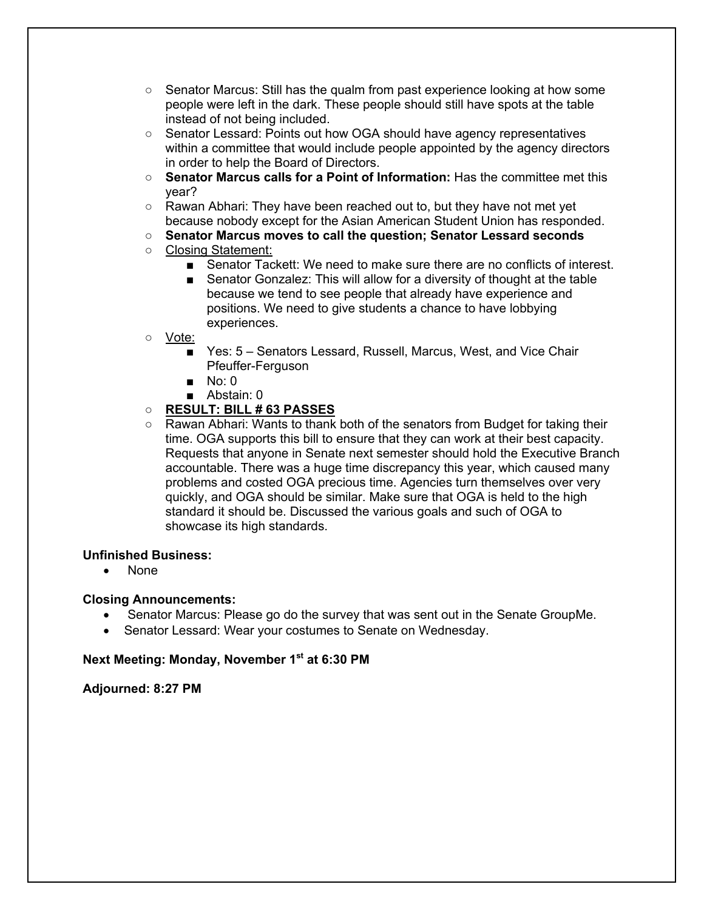- $\circ$  Senator Marcus: Still has the qualm from past experience looking at how some people were left in the dark. These people should still have spots at the table instead of not being included.
- Senator Lessard: Points out how OGA should have agency representatives within a committee that would include people appointed by the agency directors in order to help the Board of Directors.
- **Senator Marcus calls for a Point of Information:** Has the committee met this year?
- Rawan Abhari: They have been reached out to, but they have not met yet because nobody except for the Asian American Student Union has responded.
- **Senator Marcus moves to call the question; Senator Lessard seconds**
- Closing Statement:
	- Senator Tackett: We need to make sure there are no conflicts of interest.
	- Senator Gonzalez: This will allow for a diversity of thought at the table because we tend to see people that already have experience and positions. We need to give students a chance to have lobbying experiences.
- Vote:
	- Yes: 5 Senators Lessard, Russell, Marcus, West, and Vice Chair Pfeuffer-Ferguson
	- No: 0
	- Abstain: 0
- **RESULT: BILL # 63 PASSES**
- Rawan Abhari: Wants to thank both of the senators from Budget for taking their time. OGA supports this bill to ensure that they can work at their best capacity. Requests that anyone in Senate next semester should hold the Executive Branch accountable. There was a huge time discrepancy this year, which caused many problems and costed OGA precious time. Agencies turn themselves over very quickly, and OGA should be similar. Make sure that OGA is held to the high standard it should be. Discussed the various goals and such of OGA to showcase its high standards.

## **Unfinished Business:**

• None

## **Closing Announcements:**

- Senator Marcus: Please go do the survey that was sent out in the Senate GroupMe.
- Senator Lessard: Wear your costumes to Senate on Wednesday.

## **Next Meeting: Monday, November 1st at 6:30 PM**

**Adjourned: 8:27 PM**